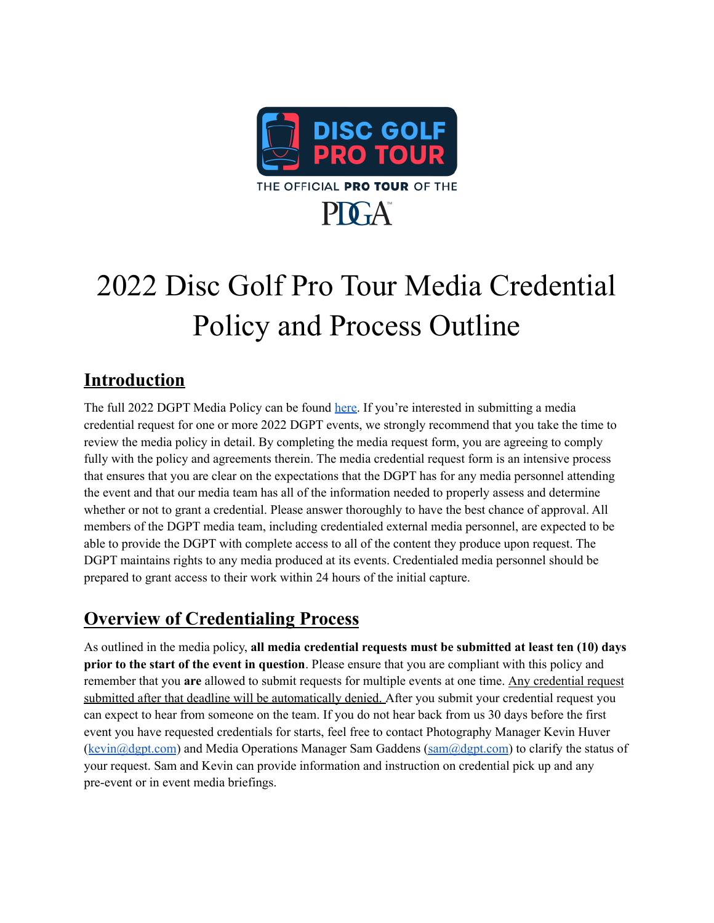

# 2022 Disc Golf Pro Tour Media Credential Policy and Process Outline

## **Introduction**

The full 2022 DGPT Media Policy can be found [here](https://www.dgpt.com/wp-content/uploads/2022/05/DGPT-Media-Policy-2022.pdf). If you're interested in submitting a media credential request for one or more 2022 DGPT events, we strongly recommend that you take the time to review the media policy in detail. By completing the media request form, you are agreeing to comply fully with the policy and agreements therein. The media credential request form is an intensive process that ensures that you are clear on the expectations that the DGPT has for any media personnel attending the event and that our media team has all of the information needed to properly assess and determine whether or not to grant a credential. Please answer thoroughly to have the best chance of approval. All members of the DGPT media team, including credentialed external media personnel, are expected to be able to provide the DGPT with complete access to all of the content they produce upon request. The DGPT maintains rights to any media produced at its events. Credentialed media personnel should be prepared to grant access to their work within 24 hours of the initial capture.

### **Overview of Credentialing Process**

As outlined in the media policy, **all media credential requests must be submitted at least ten (10) days prior to the start of the event in question**. Please ensure that you are compliant with this policy and remember that you **are** allowed to submit requests for multiple events at one time. Any credential request submitted after that deadline will be automatically denied. After you submit your credential request you can expect to hear from someone on the team. If you do not hear back from us 30 days before the first event you have requested credentials for starts, feel free to contact Photography Manager Kevin Huver ([kevin@dgpt.com](mailto:kevin@dgpt.com)) and Media Operations Manager Sam Gaddens [\(sam@dgpt.com](mailto:sam@dgpt.com)) to clarify the status of your request. Sam and Kevin can provide information and instruction on credential pick up and any pre-event or in event media briefings.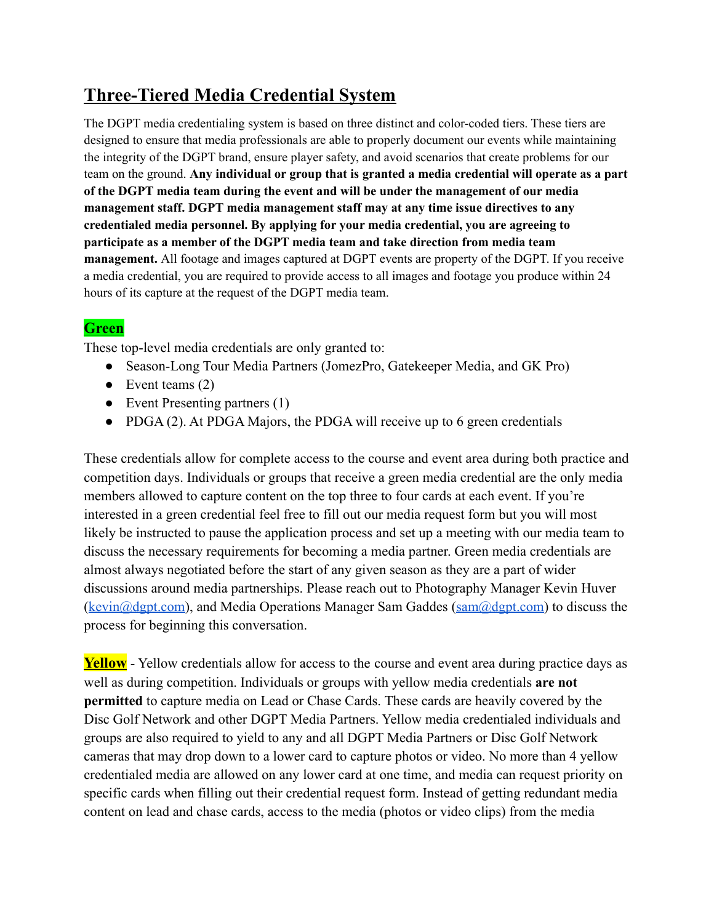## **Three-Tiered Media Credential System**

The DGPT media credentialing system is based on three distinct and color-coded tiers. These tiers are designed to ensure that media professionals are able to properly document our events while maintaining the integrity of the DGPT brand, ensure player safety, and avoid scenarios that create problems for our team on the ground. **Any individual or group that is granted a media credential will operate as a part of the DGPT media team during the event and will be under the management of our media management staff. DGPT media management staff may at any time issue directives to any credentialed media personnel. By applying for your media credential, you are agreeing to participate as a member of the DGPT media team and take direction from media team management.** All footage and images captured at DGPT events are property of the DGPT. If you receive a media credential, you are required to provide access to all images and footage you produce within 24 hours of its capture at the request of the DGPT media team.

#### **Green**

These top-level media credentials are only granted to:

- Season-Long Tour Media Partners (JomezPro, Gatekeeper Media, and GK Pro)
- $\bullet$  Event teams (2)
- Event Presenting partners (1)
- PDGA (2). At PDGA Majors, the PDGA will receive up to 6 green credentials

These credentials allow for complete access to the course and event area during both practice and competition days. Individuals or groups that receive a green media credential are the only media members allowed to capture content on the top three to four cards at each event. If you're interested in a green credential feel free to fill out our media request form but you will most likely be instructed to pause the application process and set up a meeting with our media team to discuss the necessary requirements for becoming a media partner. Green media credentials are almost always negotiated before the start of any given season as they are a part of wider discussions around media partnerships. Please reach out to Photography Manager Kevin Huver ([kevin@dgpt.com\)](mailto:kevin@dgpt.com), and Media Operations Manager Sam Gaddes [\(sam@dgpt.com\)](mailto:sam@dgpt.com) to discuss the process for beginning this conversation.

**Yellow** - Yellow credentials allow for access to the course and event area during practice days as well as during competition. Individuals or groups with yellow media credentials **are not permitted** to capture media on Lead or Chase Cards. These cards are heavily covered by the Disc Golf Network and other DGPT Media Partners. Yellow media credentialed individuals and groups are also required to yield to any and all DGPT Media Partners or Disc Golf Network cameras that may drop down to a lower card to capture photos or video. No more than 4 yellow credentialed media are allowed on any lower card at one time, and media can request priority on specific cards when filling out their credential request form. Instead of getting redundant media content on lead and chase cards, access to the media (photos or video clips) from the media